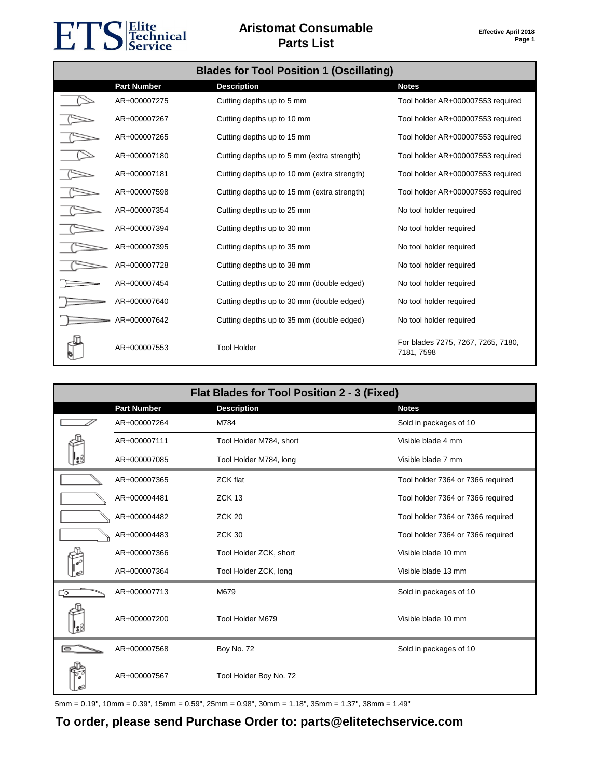# ETS Fechnical

#### **Aristomat Consumable Parts List**

| <b>Blades for Tool Position 1 (Oscillating)</b> |                    |                                             |                                                  |
|-------------------------------------------------|--------------------|---------------------------------------------|--------------------------------------------------|
|                                                 | <b>Part Number</b> | <b>Description</b>                          | <b>Notes</b>                                     |
|                                                 | AR+000007275       | Cutting depths up to 5 mm                   | Tool holder AR+000007553 required                |
|                                                 | AR+000007267       | Cutting depths up to 10 mm                  | Tool holder AR+000007553 required                |
|                                                 | AR+000007265       | Cutting depths up to 15 mm                  | Tool holder AR+000007553 required                |
|                                                 | AR+000007180       | Cutting depths up to 5 mm (extra strength)  | Tool holder AR+000007553 required                |
|                                                 | AR+000007181       | Cutting depths up to 10 mm (extra strength) | Tool holder AR+000007553 required                |
|                                                 | AR+000007598       | Cutting depths up to 15 mm (extra strength) | Tool holder AR+000007553 required                |
|                                                 | AR+000007354       | Cutting depths up to 25 mm                  | No tool holder required                          |
|                                                 | AR+000007394       | Cutting depths up to 30 mm                  | No tool holder required                          |
|                                                 | AR+000007395       | Cutting depths up to 35 mm                  | No tool holder required                          |
|                                                 | AR+000007728       | Cutting depths up to 38 mm                  | No tool holder required                          |
|                                                 | AR+000007454       | Cutting depths up to 20 mm (double edged)   | No tool holder required                          |
|                                                 | AR+000007640       | Cutting depths up to 30 mm (double edged)   | No tool holder required                          |
|                                                 | AR+000007642       | Cutting depths up to 35 mm (double edged)   | No tool holder required                          |
|                                                 | AR+000007553       | <b>Tool Holder</b>                          | For blades 7275, 7267, 7265, 7180,<br>7181, 7598 |

|               | Flat Blades for Tool Position 2 - 3 (Fixed) |                         |                                   |  |
|---------------|---------------------------------------------|-------------------------|-----------------------------------|--|
|               | <b>Part Number</b>                          | <b>Description</b>      | <b>Notes</b>                      |  |
|               | AR+000007264                                | M784                    | Sold in packages of 10            |  |
|               | AR+000007111                                | Tool Holder M784, short | Visible blade 4 mm                |  |
|               | AR+000007085                                | Tool Holder M784, long  | Visible blade 7 mm                |  |
|               | AR+000007365                                | <b>ZCK flat</b>         | Tool holder 7364 or 7366 required |  |
|               | AR+000004481                                | ZCK <sub>13</sub>       | Tool holder 7364 or 7366 required |  |
|               | AR+000004482                                | <b>ZCK 20</b>           | Tool holder 7364 or 7366 required |  |
|               | AR+000004483                                | <b>ZCK 30</b>           | Tool holder 7364 or 7366 required |  |
|               | AR+000007366                                | Tool Holder ZCK, short  | Visible blade 10 mm               |  |
|               | AR+000007364                                | Tool Holder ZCK, long   | Visible blade 13 mm               |  |
| ెం            | AR+000007713                                | M679                    | Sold in packages of 10            |  |
|               | AR+000007200                                | Tool Holder M679        | Visible blade 10 mm               |  |
| $\Rightarrow$ | AR+000007568                                | Boy No. 72              | Sold in packages of 10            |  |
|               | AR+000007567                                | Tool Holder Boy No. 72  |                                   |  |

5mm = 0.19", 10mm = 0.39", 15mm = 0.59", 25mm = 0.98", 30mm = 1.18", 35mm = 1.37", 38mm = 1.49"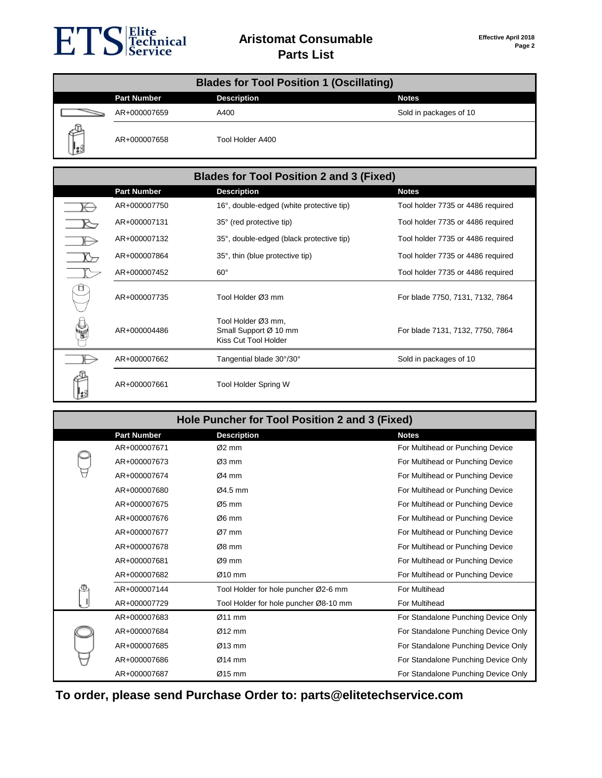

| <b>Blades for Tool Position 1 (Oscillating)</b> |                    |                    |                        |
|-------------------------------------------------|--------------------|--------------------|------------------------|
|                                                 | <b>Part Number</b> | <b>Description</b> | <b>Notes</b>           |
|                                                 | AR+000007659       | A400               | Sold in packages of 10 |
| ∥ئ                                              | AR+000007658       | Tool Holder A400   |                        |

| <b>Blades for Tool Position 2 and 3 (Fixed)</b> |                                                                     |                                   |  |
|-------------------------------------------------|---------------------------------------------------------------------|-----------------------------------|--|
| <b>Part Number</b>                              | <b>Description</b>                                                  | <b>Notes</b>                      |  |
| AR+000007750                                    | 16°, double-edged (white protective tip)                            | Tool holder 7735 or 4486 required |  |
| AR+000007131                                    | 35° (red protective tip)                                            | Tool holder 7735 or 4486 required |  |
| AR+000007132                                    | 35°, double-edged (black protective tip)                            | Tool holder 7735 or 4486 required |  |
| AR+000007864                                    | 35°, thin (blue protective tip)                                     | Tool holder 7735 or 4486 required |  |
| AR+000007452                                    | $60^{\circ}$                                                        | Tool holder 7735 or 4486 required |  |
| AR+000007735                                    | Tool Holder Ø3 mm                                                   | For blade 7750, 7131, 7132, 7864  |  |
| AR+000004486                                    | Tool Holder Ø3 mm,<br>Small Support Ø 10 mm<br>Kiss Cut Tool Holder | For blade 7131, 7132, 7750, 7864  |  |
| AR+000007662                                    | Tangential blade 30°/30°                                            | Sold in packages of 10            |  |
| AR+000007661                                    | Tool Holder Spring W                                                |                                   |  |

| Hole Puncher for Tool Position 2 and 3 (Fixed) |                    |                                       |                                     |
|------------------------------------------------|--------------------|---------------------------------------|-------------------------------------|
|                                                | <b>Part Number</b> | <b>Description</b>                    | <b>Notes</b>                        |
|                                                | AR+000007671       | $Ø2$ mm                               | For Multihead or Punching Device    |
|                                                | AR+000007673       | $Ø3$ mm                               | For Multihead or Punching Device    |
|                                                | AR+000007674       | $Ø4$ mm                               | For Multihead or Punching Device    |
|                                                | AR+000007680       | $Ø4.5$ mm                             | For Multihead or Punching Device    |
|                                                | AR+000007675       | $Ø5$ mm                               | For Multihead or Punching Device    |
|                                                | AR+000007676       | $\varnothing$ 6 mm                    | For Multihead or Punching Device    |
|                                                | AR+000007677       | $Ø7$ mm                               | For Multihead or Punching Device    |
|                                                | AR+000007678       | $Ø8$ mm                               | For Multihead or Punching Device    |
|                                                | AR+000007681       | $Ø9$ mm                               | For Multihead or Punching Device    |
|                                                | AR+000007682       | $Ø10$ mm                              | For Multihead or Punching Device    |
|                                                | AR+000007144       | Tool Holder for hole puncher Ø2-6 mm  | For Multihead                       |
|                                                | AR+000007729       | Tool Holder for hole puncher Ø8-10 mm | For Multihead                       |
|                                                | AR+000007683       | $Ø11$ mm                              | For Standalone Punching Device Only |
|                                                | AR+000007684       | $Ø12$ mm                              | For Standalone Punching Device Only |
|                                                | AR+000007685       | $Ø13$ mm                              | For Standalone Punching Device Only |
|                                                | AR+000007686       | $Ø14$ mm                              | For Standalone Punching Device Only |
|                                                | AR+000007687       | $Ø15$ mm                              | For Standalone Punching Device Only |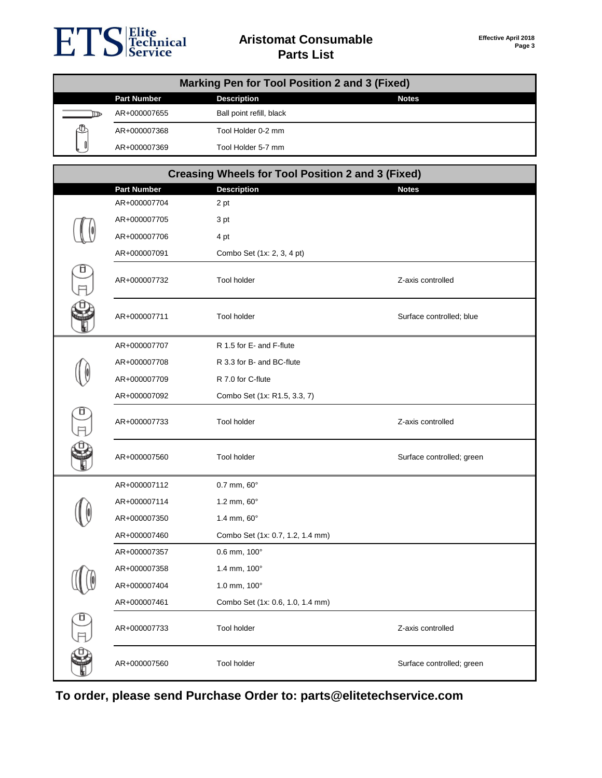

#### **Aristomat Consumable Parts List**

| <b>Marking Pen for Tool Position 2 and 3 (Fixed)</b> |                    |                                                          |                           |
|------------------------------------------------------|--------------------|----------------------------------------------------------|---------------------------|
|                                                      | <b>Part Number</b> | <b>Description</b>                                       | <b>Notes</b>              |
|                                                      | AR+000007655       | Ball point refill, black                                 |                           |
|                                                      | AR+000007368       | Tool Holder 0-2 mm                                       |                           |
|                                                      | AR+000007369       | Tool Holder 5-7 mm                                       |                           |
|                                                      |                    |                                                          |                           |
|                                                      |                    | <b>Creasing Wheels for Tool Position 2 and 3 (Fixed)</b> |                           |
|                                                      | <b>Part Number</b> | <b>Description</b>                                       | <b>Notes</b>              |
|                                                      | AR+000007704       | 2 pt                                                     |                           |
|                                                      | AR+000007705       | 3 pt                                                     |                           |
|                                                      | AR+000007706       | 4 pt                                                     |                           |
|                                                      | AR+000007091       | Combo Set (1x: 2, 3, 4 pt)                               |                           |
|                                                      | AR+000007732       | <b>Tool holder</b>                                       | Z-axis controlled         |
|                                                      | AR+000007711       | Tool holder                                              | Surface controlled; blue  |
|                                                      | AR+000007707       | R 1.5 for E- and F-flute                                 |                           |
|                                                      | AR+000007708       | R 3.3 for B- and BC-flute                                |                           |
|                                                      | AR+000007709       | R 7.0 for C-flute                                        |                           |
|                                                      | AR+000007092       | Combo Set (1x: R1.5, 3.3, 7)                             |                           |
| Ô                                                    | AR+000007733       | Tool holder                                              | Z-axis controlled         |
|                                                      | AR+000007560       | Tool holder                                              | Surface controlled; green |
|                                                      | AR+000007112       | $0.7$ mm, $60^\circ$                                     |                           |
|                                                      | AR+000007114       | 1.2 mm, 60°                                              |                           |
|                                                      | AR+000007350       | 1.4 mm, 60°                                              |                           |
|                                                      | AR+000007460       | Combo Set (1x: 0.7, 1.2, 1.4 mm)                         |                           |
|                                                      | AR+000007357       | 0.6 mm, 100°                                             |                           |
|                                                      | AR+000007358       | 1.4 mm, 100°                                             |                           |
|                                                      | AR+000007404       | 1.0 mm, 100°                                             |                           |
|                                                      | AR+000007461       | Combo Set (1x: 0.6, 1.0, 1.4 mm)                         |                           |
|                                                      | AR+000007733       | Tool holder                                              | Z-axis controlled         |
|                                                      | AR+000007560       | Tool holder                                              | Surface controlled; green |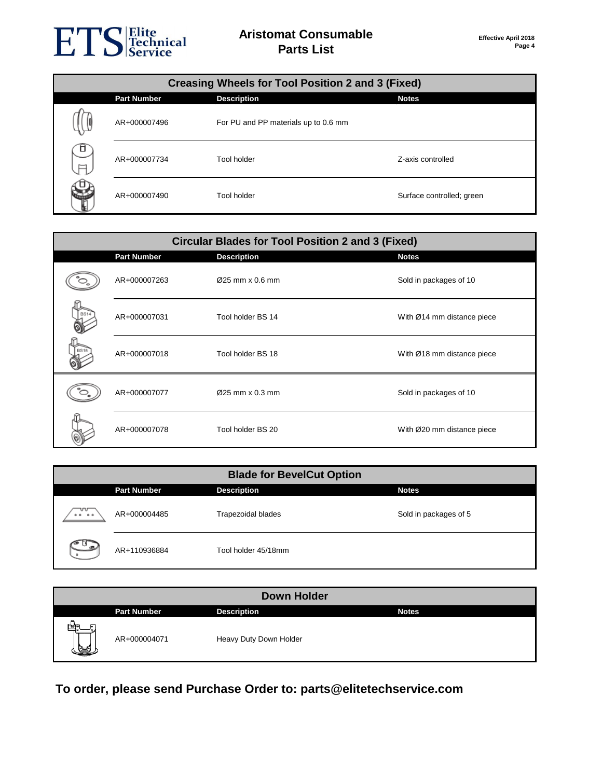# ETS Elite<br>
ETS Echnical

| <b>Creasing Wheels for Tool Position 2 and 3 (Fixed)</b> |                    |                                      |                           |  |
|----------------------------------------------------------|--------------------|--------------------------------------|---------------------------|--|
|                                                          | <b>Part Number</b> | <b>Description</b>                   | <b>Notes</b>              |  |
|                                                          | AR+000007496       | For PU and PP materials up to 0.6 mm |                           |  |
| O<br>ᆷ                                                   | AR+000007734       | Tool holder                          | Z-axis controlled         |  |
|                                                          | AR+000007490       | Tool holder                          | Surface controlled; green |  |

|            | <b>Circular Blades for Tool Position 2 and 3 (Fixed)</b> |                    |                            |  |
|------------|----------------------------------------------------------|--------------------|----------------------------|--|
|            | <b>Part Number</b>                                       | <b>Description</b> | <b>Notes</b>               |  |
|            | AR+000007263                                             | Ø25 mm x 0.6 mm    | Sold in packages of 10     |  |
| <b>BS1</b> | AR+000007031                                             | Tool holder BS 14  | With Ø14 mm distance piece |  |
|            | AR+000007018                                             | Tool holder BS 18  | With Ø18 mm distance piece |  |
|            | AR+000007077                                             | Ø25 mm x 0.3 mm    | Sold in packages of 10     |  |
|            | AR+000007078                                             | Tool holder BS 20  | With Ø20 mm distance piece |  |

| <b>Blade for BevelCut Option</b>                                                          |                    |                           |                       |  |
|-------------------------------------------------------------------------------------------|--------------------|---------------------------|-----------------------|--|
|                                                                                           | <b>Part Number</b> | <b>Description</b>        | <b>Notes</b>          |  |
| ᠊᠊ᢦ᠇<br>$\begin{array}{cccccccccccccc} \circ & \circ & \circ & \circ & \circ \end{array}$ | AR+000004485       | <b>Trapezoidal blades</b> | Sold in packages of 5 |  |
| حمی ک                                                                                     | AR+110936884       | Tool holder 45/18mm       |                       |  |

| <b>Down Holder</b> |                    |                        |              |  |
|--------------------|--------------------|------------------------|--------------|--|
|                    | <b>Part Number</b> | <b>Description</b>     | <b>Notes</b> |  |
| खन<br>S            | AR+000004071       | Heavy Duty Down Holder |              |  |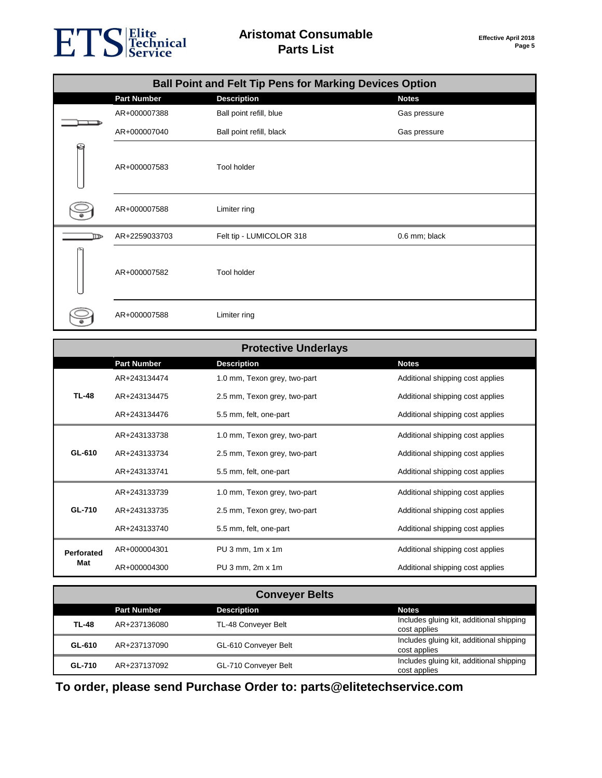### ETS Fechnical

|      | <b>Ball Point and Felt Tip Pens for Marking Devices Option</b> |                          |               |  |
|------|----------------------------------------------------------------|--------------------------|---------------|--|
|      | <b>Part Number</b>                                             | <b>Description</b>       | <b>Notes</b>  |  |
|      | AR+000007388                                                   | Ball point refill, blue  | Gas pressure  |  |
|      | AR+000007040                                                   | Ball point refill, black | Gas pressure  |  |
|      | AR+000007583                                                   | Tool holder              |               |  |
|      | AR+000007588                                                   | Limiter ring             |               |  |
| ⊲דוו | AR+2259033703                                                  | Felt tip - LUMICOLOR 318 | 0.6 mm; black |  |
|      | AR+000007582                                                   | Tool holder              |               |  |
|      | AR+000007588                                                   | Limiter ring             |               |  |

|                   |                    | <b>Protective Underlays</b>                          |                                  |
|-------------------|--------------------|------------------------------------------------------|----------------------------------|
|                   | <b>Part Number</b> | <b>Description</b>                                   | <b>Notes</b>                     |
|                   | AR+243134474       | 1.0 mm, Texon grey, two-part                         | Additional shipping cost applies |
| <b>TL-48</b>      | AR+243134475       | 2.5 mm, Texon grey, two-part                         | Additional shipping cost applies |
|                   | AR+243134476       | 5.5 mm, felt, one-part                               | Additional shipping cost applies |
|                   | AR+243133738       | 1.0 mm, Texon grey, two-part                         | Additional shipping cost applies |
| GL-610            | AR+243133734       | 2.5 mm, Texon grey, two-part                         | Additional shipping cost applies |
|                   | AR+243133741       | 5.5 mm, felt, one-part                               | Additional shipping cost applies |
|                   | AR+243133739       | 1.0 mm, Texon grey, two-part                         | Additional shipping cost applies |
| <b>GL-710</b>     | AR+243133735       | 2.5 mm, Texon grey, two-part                         | Additional shipping cost applies |
|                   | AR+243133740       | 5.5 mm, felt, one-part                               | Additional shipping cost applies |
| <b>Perforated</b> | AR+000004301       | PU $3 \text{ mm}$ , $1 \text{ m} \times 1 \text{ m}$ | Additional shipping cost applies |
| Mat               | AR+000004300       | $PU3$ mm, $2m \times 1m$                             | Additional shipping cost applies |

| <b>Conveyer Belts</b> |                    |                      |                                                          |
|-----------------------|--------------------|----------------------|----------------------------------------------------------|
|                       | <b>Part Number</b> | <b>Description</b>   | <b>Notes</b>                                             |
| TL-48                 | AR+237136080       | TL-48 Conveyer Belt  | Includes gluing kit, additional shipping<br>cost applies |
| GL-610                | AR+237137090       | GL-610 Conveyer Belt | Includes gluing kit, additional shipping<br>cost applies |
| GL-710                | AR+237137092       | GL-710 Conveyer Belt | Includes gluing kit, additional shipping<br>cost applies |